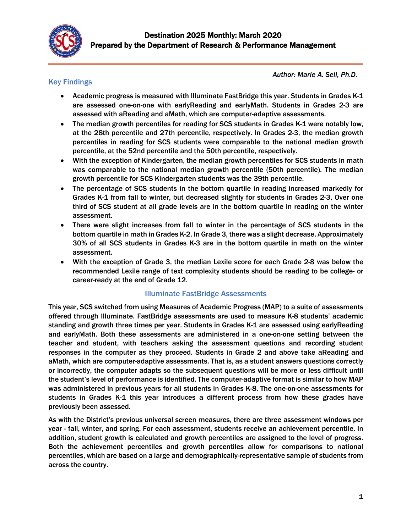

# Key Findings

*Author: Marie A. Sell, Ph.D.*

- Academic progress is measured with Illuminate FastBridge this year. Students in Grades K-1 are assessed one-on-one with earlyReading and earlyMath. Students in Grades 2-3 are assessed with aReading and aMath, which are computer-adaptive assessments.
- The median growth percentiles for reading for SCS students in Grades K-1 were notably low, at the 28th percentile and 27th percentile, respectively. In Grades 2-3, the median growth percentiles in reading for SCS students were comparable to the national median growth percentile, at the 52nd percentile and the 50th percentile, respectively.
- With the exception of Kindergarten, the median growth percentiles for SCS students in math was comparable to the national median growth percentile (50th percentile). The median growth percentile for SCS Kindergarten students was the 39th percentile.
- The percentage of SCS students in the bottom quartile in reading increased markedly for Grades K-1 from fall to winter, but decreased slightly for students in Grades 2-3. Over one third of SCS student at all grade levels are in the bottom quartile in reading on the winter assessment.
- There were slight increases from fall to winter in the percentage of SCS students in the bottom quartile in math in Grades K-2. In Grade 3, there was a slight decrease. Approximately 30% of all SCS students in Grades K-3 are in the bottom quartile in math on the winter assessment.
- With the exception of Grade 3, the median Lexile score for each Grade 2-8 was below the recommended Lexile range of text complexity students should be reading to be college- or career-ready at the end of Grade 12.

#### Illuminate FastBridge Assessments

This year, SCS switched from using Measures of Academic Progress (MAP) to a suite of assessments offered through Illuminate. FastBridge assessments are used to measure K-8 students' academic standing and growth three times per year. Students in Grades K-1 are assessed using earlyReading and earlyMath. Both these assessments are administered in a one-on-one setting between the teacher and student, with teachers asking the assessment questions and recording student responses in the computer as they proceed. Students in Grade 2 and above take aReading and aMath, which are computer-adaptive assessments. That is, as a student answers questions correctly or incorrectly, the computer adapts so the subsequent questions will be more or less difficult until the student's level of performance is identified. The computer-adaptive format is similar to how MAP was administered in previous years for all students in Grades K-8. The one-on-one assessments for students in Grades K-1 this year introduces a different process from how these grades have previously been assessed.

As with the District's previous universal screen measures, there are three assessment windows per year - fall, winter, and spring. For each assessment, students receive an achievement percentile. In addition, student growth is calculated and growth percentiles are assigned to the level of progress. Both the achievement percentiles and growth percentiles allow for comparisons to national percentiles, which are based on a large and demographically-representative sample of students from across the country.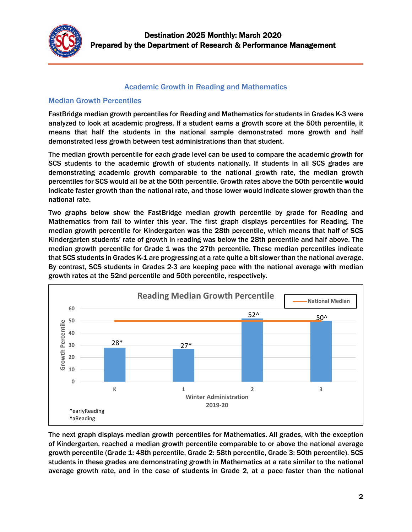

### Academic Growth in Reading and Mathematics

### Median Growth Percentiles

FastBridge median growth percentiles for Reading and Mathematics for students in Grades K-3 were analyzed to look at academic progress. If a student earns a growth score at the 50th percentile, it means that half the students in the national sample demonstrated more growth and half demonstrated less growth between test administrations than that student.

The median growth percentile for each grade level can be used to compare the academic growth for SCS students to the academic growth of students nationally. If students in all SCS grades are demonstrating academic growth comparable to the national growth rate, the median growth percentiles for SCS would all be at the 50th percentile. Growth rates above the 50th percentile would indicate faster growth than the national rate, and those lower would indicate slower growth than the national rate.

Two graphs below show the FastBridge median growth percentile by grade for Reading and Mathematics from fall to winter this year. The first graph displays percentiles for Reading. The median growth percentile for Kindergarten was the 28th percentile, which means that half of SCS Kindergarten students' rate of growth in reading was below the 28th percentile and half above. The median growth percentile for Grade 1 was the 27th percentile. These median percentiles indicate that SCS students in Grades K-1 are progressing at a rate quite a bit slower than the national average. By contrast, SCS students in Grades 2-3 are keeping pace with the national average with median growth rates at the 52nd percentile and 50th percentile, respectively.



The next graph displays median growth percentiles for Mathematics. All grades, with the exception of Kindergarten, reached a median growth percentile comparable to or above the national average growth percentile (Grade 1: 48th percentile, Grade 2: 58th percentile, Grade 3: 50th percentile). SCS students in these grades are demonstrating growth in Mathematics at a rate similar to the national average growth rate, and in the case of students in Grade 2, at a pace faster than the national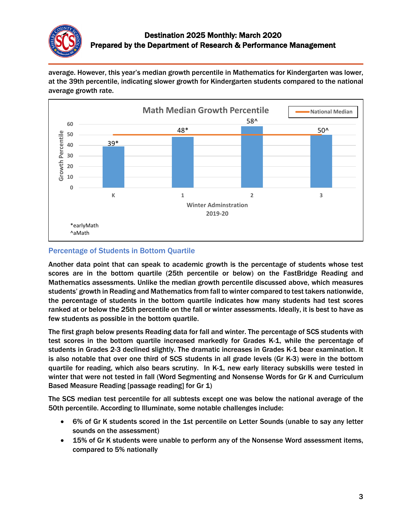

average. However, this year's median growth percentile in Mathematics for Kindergarten was lower, at the 39th percentile, indicating slower growth for Kindergarten students compared to the national average growth rate.



## Percentage of Students in Bottom Quartile

Another data point that can speak to academic growth is the percentage of students whose test scores are in the bottom quartile (25th percentile or below) on the FastBridge Reading and Mathematics assessments. Unlike the median growth percentile discussed above, which measures students' growth in Reading and Mathematics from fall to winter compared to test takers nationwide, the percentage of students in the bottom quartile indicates how many students had test scores ranked at or below the 25th percentile on the fall or winter assessments. Ideally, it is best to have as few students as possible in the bottom quartile.

The first graph below presents Reading data for fall and winter. The percentage of SCS students with test scores in the bottom quartile increased markedly for Grades K-1, while the percentage of students in Grades 2-3 declined slightly. The dramatic increases in Grades K-1 bear examination. It is also notable that over one third of SCS students in all grade levels (Gr K-3) were in the bottom quartile for reading, which also bears scrutiny. In K-1, new early literacy subskills were tested in winter that were not tested in fall (Word Segmenting and Nonsense Words for Gr K and Curriculum Based Measure Reading [passage reading] for Gr 1)

The SCS median test percentile for all subtests except one was below the national average of the 50th percentile. According to Illuminate, some notable challenges include:

- 6% of Gr K students scored in the 1st percentile on Letter Sounds (unable to say any letter sounds on the assessment)
- 15% of Gr K students were unable to perform any of the Nonsense Word assessment items, compared to 5% nationally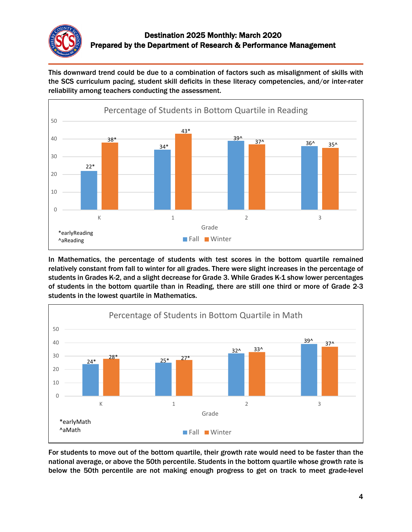

This downward trend could be due to a combination of factors such as misalignment of skills with the SCS curriculum pacing, student skill deficits in these literacy competencies, and/or inter-rater reliability among teachers conducting the assessment.



In Mathematics, the percentage of students with test scores in the bottom quartile remained relatively constant from fall to winter for all grades. There were slight increases in the percentage of students in Grades K-2, and a slight decrease for Grade 3. While Grades K-1 show lower percentages of students in the bottom quartile than in Reading, there are still one third or more of Grade 2-3 students in the lowest quartile in Mathematics.



For students to move out of the bottom quartile, their growth rate would need to be faster than the national average, or above the 50th percentile. Students in the bottom quartile whose growth rate is below the 50th percentile are not making enough progress to get on track to meet grade-level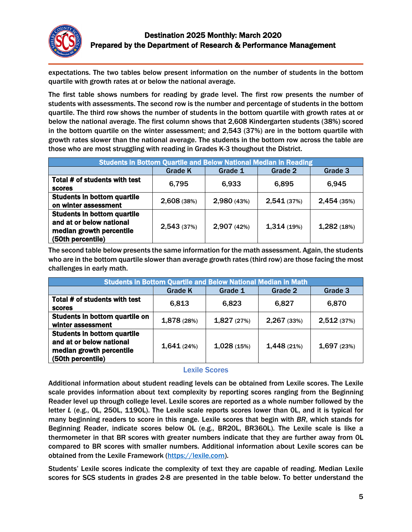

expectations. The two tables below present information on the number of students in the bottom quartile with growth rates at or below the national average.

The first table shows numbers for reading by grade level. The first row presents the number of students with assessments. The second row is the number and percentage of students in the bottom quartile. The third row shows the number of students in the bottom quartile with growth rates at or below the national average. The first column shows that 2,608 Kindergarten students (38%) scored in the bottom quartile on the winter assessment; and 2,543 (37%) are in the bottom quartile with growth rates slower than the national average. The students in the bottom row across the table are those who are most struggling with reading in Grades K-3 thoughout the District.

| <b>Students in Bottom Quartile and Below National Median in Reading</b>                                         |                |             |             |             |  |
|-----------------------------------------------------------------------------------------------------------------|----------------|-------------|-------------|-------------|--|
|                                                                                                                 | <b>Grade K</b> | Grade 1     | Grade 2     | Grade 3     |  |
| Total # of students with test<br><b>scores</b>                                                                  | 6,795          | 6,933       | 6,895       | 6,945       |  |
| <b>Students in bottom quartile</b><br>on winter assessment                                                      | 2,608 (38%)    | 2,980 (43%) | 2,541 (37%) | 2,454 (35%) |  |
| <b>Students in bottom quartile</b><br>and at or below national<br>median growth percentile<br>(50th percentile) | 2,543 (37%)    | 2,907 (42%) | 1,314(19%)  | 1,282(18%)  |  |

The second table below presents the same information for the math assessment. Again, the students who are in the bottom quartile slower than average growth rates (third row) are those facing the most challenges in early math.

| <b>Students in Bottom Quartile and Below National Median in Math</b>                                            |                |            |             |             |  |
|-----------------------------------------------------------------------------------------------------------------|----------------|------------|-------------|-------------|--|
|                                                                                                                 | <b>Grade K</b> | Grade 1    | Grade 2     | Grade 3     |  |
| Total # of students with test<br><b>scores</b>                                                                  | 6,813          | 6,823      | 6,827       | 6,870       |  |
| Students in bottom quartile on<br>winter assessment                                                             | 1,878 (28%)    | 1,827(27%) | 2,267 (33%) | 2,512 (37%) |  |
| <b>Students in bottom quartile</b><br>and at or below national<br>median growth percentile<br>(50th percentile) | 1,641(24%)     | 1,028(15%) | 1,448(21%)  | 1,697 (23%) |  |

#### Lexile Scores

Additional information about student reading levels can be obtained from Lexile scores. The Lexile scale provides information about text complexity by reporting scores ranging from the Beginning Reader level up through college level. Lexile scores are reported as a whole number followed by the letter *L* (e.g., 0L, 250L, 1190L). The Lexile scale reports scores lower than 0L, and it is typical for many beginning readers to score in this range. Lexile scores that begin with *BR*, which stands for Beginning Reader, indicate scores below 0L (e.g., BR20L, BR360L). The Lexile scale is like a thermometer in that BR scores with greater numbers indicate that they are further away from 0L compared to BR scores with smaller numbers. Additional information about Lexile scores can be obtained from the Lexile Framework [\(https://lexile.com\)](https://lexile.com/).

Students' Lexile scores indicate the complexity of text they are capable of reading. Median Lexile scores for SCS students in grades 2-8 are presented in the table below. To better understand the